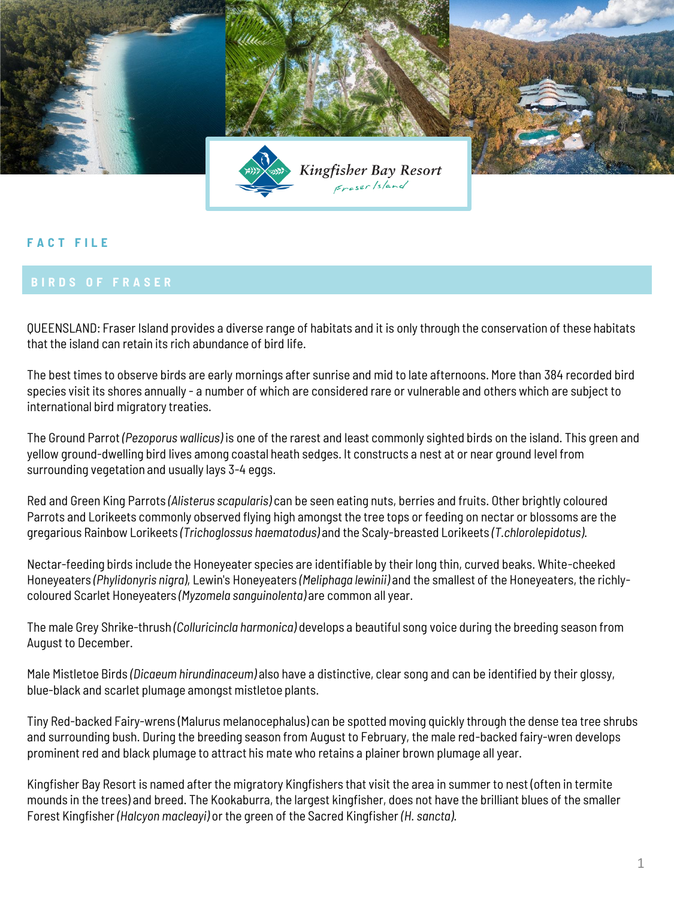

## **F A C T F I L E**

QUEENSLAND: Fraser Island provides a diverse range of habitats and it is only through the conservation of these habitats that the island can retain its rich abundance of bird life.

The best times to observe birds are early mornings after sunrise and mid to late afternoons. More than 384 recorded bird species visit its shores annually - a number of which are considered rare or vulnerable and others which are subject to international bird migratory treaties.

The Ground Parrot *(Pezoporus wallicus)* is one of the rarest and least commonly sighted birds on the island. This green and yellow ground-dwelling bird lives among coastal heath sedges. It constructs a nest at or near ground level from surrounding vegetation and usually lays 3-4 eggs.

Red and Green King Parrots *(Alisterus scapularis)* can be seen eating nuts, berries and fruits. Other brightly coloured Parrots and Lorikeets commonly observed flying high amongst the tree tops or feeding on nectar or blossoms are the gregarious Rainbow Lorikeets *(Trichoglossus haematodus)* and the Scaly-breasted Lorikeets *(T.chlorolepidotus)*.

Nectar-feeding birds include the Honeyeater species are identifiable by their long thin, curved beaks. White-cheeked Honeyeaters *(Phylidonyris nigra)*, Lewin's Honeyeaters *(Meliphaga lewinii)* and the smallest of the Honeyeaters, the richlycoloured Scarlet Honeyeaters *(Myzomela sanguinolenta)* are common all year.

The male Grey Shrike-thrush *(Colluricincla harmonica)* develops a beautiful song voice during the breeding season from August to December.

Male Mistletoe Birds *(Dicaeum hirundinaceum)* also have a distinctive, clear song and can be identified by their glossy, blue-black and scarlet plumage amongst mistletoe plants.

Tiny Red-backed Fairy-wrens (Malurus melanocephalus) can be spotted moving quickly through the dense tea tree shrubs and surrounding bush. During the breeding season from August to February, the male red-backed fairy-wren develops prominent red and black plumage to attract his mate who retains a plainer brown plumage all year.

Kingfisher Bay Resort is named after the migratory Kingfishers that visit the area in summer to nest (often in termite mounds in the trees) and breed. The Kookaburra, the largest kingfisher, does not have the brilliant blues of the smaller Forest Kingfisher *(Halcyon macleayi)* or the green of the Sacred Kingfisher *(H. sancta)*.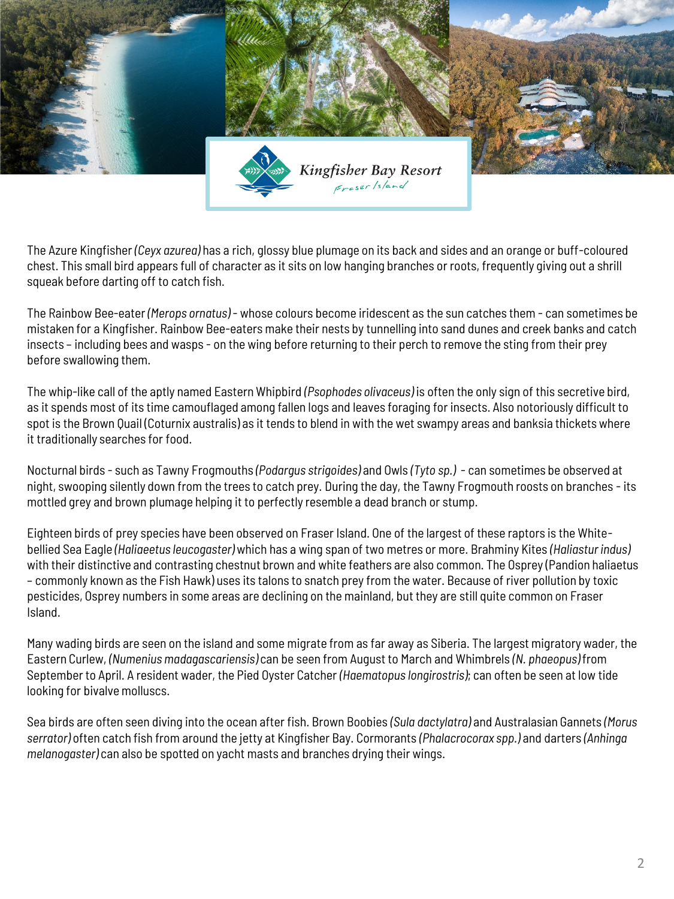

The Azure Kingfisher *(Ceyx azurea)* has a rich, glossy blue plumage on its back and sides and an orange or buff-coloured chest. This small bird appears full of character as it sits on low hanging branches or roots, frequently giving out a shrill squeak before darting off to catch fish.

The Rainbow Bee-eater *(Merops ornatus)* - whose colours become iridescent as the sun catches them - can sometimes be mistaken for a Kingfisher. Rainbow Bee-eaters make their nests by tunnelling into sand dunes and creek banks and catch insects – including bees and wasps - on the wing before returning to their perch to remove the sting from their prey before swallowing them.

The whip-like call of the aptly named Eastern Whipbird *(Psophodes olivaceus)* is often the only sign of this secretive bird, as it spends most of its time camouflaged among fallen logs and leaves foraging for insects. Also notoriously difficult to spot is the Brown Quail (Coturnix australis) as it tends to blend in with the wet swampy areas and banksia thickets where it traditionally searches for food.

Nocturnal birds - such as Tawny Frogmouths *(Podargus strigoides)* and Owls *(Tyto sp.)* - can sometimes be observed at night, swooping silently down from the trees to catch prey. During the day, the Tawny Frogmouth roosts on branches - its mottled grey and brown plumage helping it to perfectly resemble a dead branch or stump.

Eighteen birds of prey species have been observed on Fraser Island. One of the largest of these raptors is the Whitebellied Sea Eagle *(Haliaeetus leucogaster)* which has a wing span of two metres or more. Brahminy Kites *(Haliastur indus)*  with their distinctive and contrasting chestnut brown and white feathers are also common. The Osprey (Pandion haliaetus – commonly known as the Fish Hawk) uses its talons to snatch prey from the water. Because of river pollution by toxic pesticides, Osprey numbers in some areas are declining on the mainland, but they are still quite common on Fraser Island.

Many wading birds are seen on the island and some migrate from as far away as Siberia. The largest migratory wader, the Eastern Curlew, *(Numenius madagascariensis)* can be seen from August to March and Whimbrels *(N. phaeopus)* from September to April. A resident wader, the Pied Oyster Catcher *(Haematopus longirostris)*; can often be seen at low tide looking for bivalve molluscs.

Sea birds are often seen diving into the ocean after fish. Brown Boobies *(Sula dactylatra)* and Australasian Gannets *(Morus serrator)* often catch fish from around the jetty at Kingfisher Bay. Cormorants *(Phalacrocorax spp.)* and darters *(Anhinga melanogaster)* can also be spotted on yacht masts and branches drying their wings.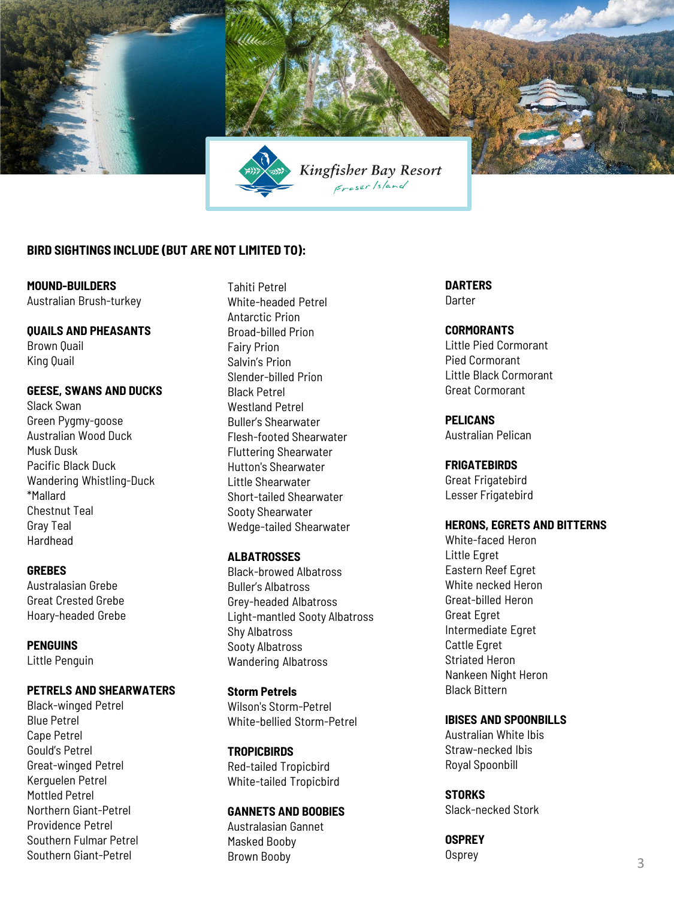

# **BIRD SIGHTINGS INCLUDE (BUT ARE NOT LIMITED TO):**

**MOUND-BUILDERS** Australian Brush-turkey

# **QUAILS AND PHEASANTS**

Brown Quail King Quail

#### **GEESE, SWANS AND DUCKS**

Slack Swan Green Pygmy-goose Australian Wood Duck Musk Dusk Pacific Black Duck Wandering Whistling-Duck \*Mallard Chestnut Teal Gray Teal Hardhead

#### **GREBES**

Australasian Grebe Great Crested Grebe Hoary-headed Grebe

**PENGUINS** Little Penguin

## **PETRELS AND SHEARWATERS**

Black-winged Petrel Blue Petrel Cape Petrel Gould's Petrel Great-winged Petrel Kerguelen Petrel Mottled Petrel Northern Giant-Petrel Providence Petrel Southern Fulmar Petrel Southern Giant-Petrel

Tahiti Petrel White-headed Petrel Antarctic Prion Broad-billed Prion Fairy Prion Salvin's Prion Slender-billed Prion Black Petrel Westland Petrel Buller's Shearwater Flesh-footed Shearwater Fluttering Shearwater Hutton's Shearwater Little Shearwater Short-tailed Shearwater Sooty Shearwater Wedge-tailed Shearwater

# **ALBATROSSES**

Black-browed Albatross Buller's Albatross Grey-headed Albatross Light-mantled Sooty Albatross Shy Albatross Sooty Albatross Wandering Albatross

# **Storm Petrels**

Wilson's Storm-Petrel White-bellied Storm-Petrel

**TROPICBIRDS**  Red-tailed Tropicbird White-tailed Tropicbird

#### **GANNETS AND BOOBIES**

Australasian Gannet Masked Booby Brown Booby

**DARTERS** Darter

#### **CORMORANTS**

Little Pied Cormorant Pied Cormorant Little Black Cormorant Great Cormorant

**PELICANS**  Australian Pelican

#### **FRIGATEBIRDS**

Great Frigatebird Lesser Frigatebird

## **HERONS, EGRETS AND BITTERNS**

White-faced Heron Little Egret Eastern Reef Egret White necked Heron Great-billed Heron Great Egret Intermediate Egret Cattle Egret Striated Heron Nankeen Night Heron Black Bittern

## **IBISES AND SPOONBILLS**

Australian White Ibis Straw-necked Ibis Royal Spoonbill

# **STORKS**

Slack-necked Stork

**OSPREY** Osprey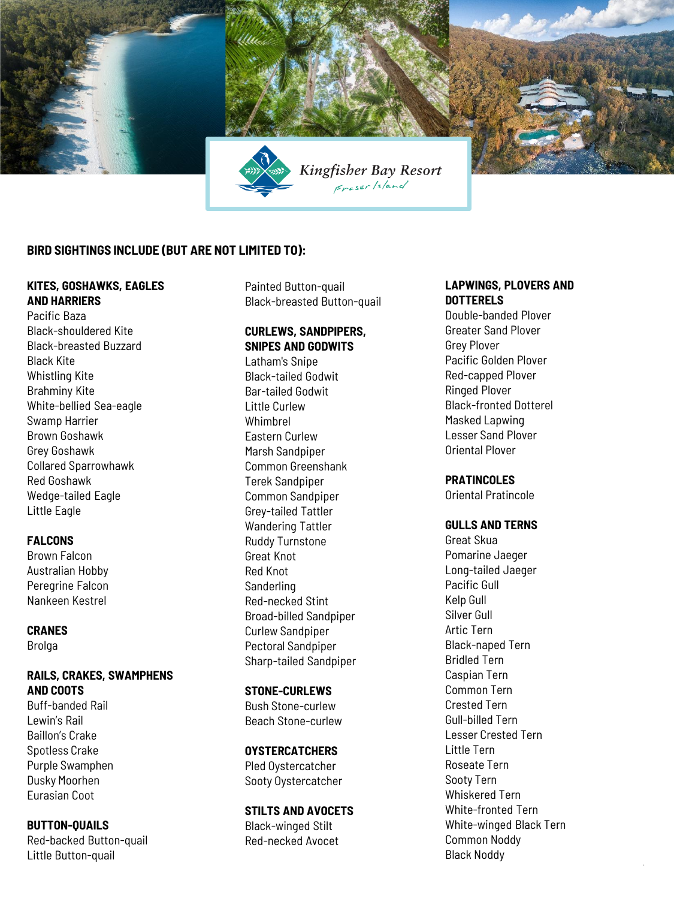

## **BIRD SIGHTINGS INCLUDE (BUT ARE NOT LIMITED TO):**

#### **KITES, GOSHAWKS, EAGLES AND HARRIERS**

Pacific Baza Black-shouldered Kite Black-breasted Buzzard Black Kite Whistling Kite Brahminy Kite White-bellied Sea-eagle Swamp Harrier Brown Goshawk Grey Goshawk Collared Sparrowhawk Red Goshawk Wedge-tailed Eagle Little Eagle

#### **FALCONS**

Brown Falcon Australian Hobby Peregrine Falcon Nankeen Kestrel

#### **CRANES**

Brolga

#### **RAILS, CRAKES, SWAMPHENS AND COOTS**

Buff-banded Rail Lewin's Rail Baillon's Crake Spotless Crake Purple Swamphen Dusky Moorhen Eurasian Coot

#### **BUTTON-QUAILS** Red-backed Button-quail Little Button-quail

Painted Button-quail Black-breasted Button-quail

# **CURLEWS, SANDPIPERS, SNIPES AND GODWITS**

Latham's Snipe Black-tailed Godwit Bar-tailed Godwit Little Curlew Whimbrel Eastern Curlew Marsh Sandpiper Common Greenshank Terek Sandpiper Common Sandpiper Grey-tailed Tattler Wandering Tattler Ruddy Turnstone Great Knot Red Knot Sanderling Red-necked Stint Broad-billed Sandpiper Curlew Sandpiper Pectoral Sandpiper Sharp-tailed Sandpiper

#### **STONE-CURLEWS**

Bush Stone-curlew Beach Stone-curlew

#### **OYSTERCATCHERS**

Pled Oystercatcher Sooty Oystercatcher

#### **STILTS AND AVOCETS**

Black-winged Stilt Red-necked Avocet

#### **LAPWINGS, PLOVERS AND DOTTERELS**

Double-banded Plover Greater Sand Plover Grey Plover Pacific Golden Plover Red-capped Plover Ringed Plover Black-fronted Dotterel Masked Lapwing Lesser Sand Plover Oriental Plover

# **PRATINCOLES**

Oriental Pratincole

#### **GULLS AND TERNS**

Great Skua Pomarine Jaeger Long-tailed Jaeger Pacific Gull Kelp Gull Silver Gull Artic Tern Black-naped Tern Bridled Tern Caspian Tern Common Tern Crested Tern Gull-billed Tern Lesser Crested Tern Little Tern Roseate Tern Sooty Tern Whiskered Tern White-fronted Tern White-winged Black Tern Common Noddy Black Noddy